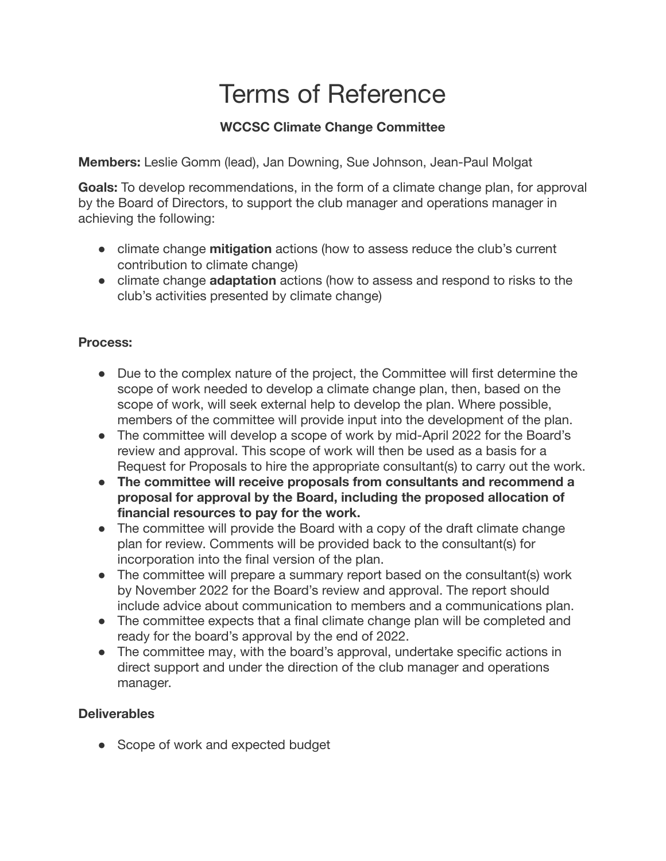# Terms of Reference

# **WCCSC Climate Change Committee**

**Members:** Leslie Gomm (lead), Jan Downing, Sue Johnson, Jean-Paul Molgat

**Goals:** To develop recommendations, in the form of a climate change plan, for approval by the Board of Directors, to support the club manager and operations manager in achieving the following:

- climate change **mitigation** actions (how to assess reduce the club's current contribution to climate change)
- climate change **adaptation** actions (how to assess and respond to risks to the club's activities presented by climate change)

# **Process:**

- Due to the complex nature of the project, the Committee will first determine the scope of work needed to develop a climate change plan, then, based on the scope of work, will seek external help to develop the plan. Where possible, members of the committee will provide input into the development of the plan.
- The committee will develop a scope of work by mid-April 2022 for the Board's review and approval. This scope of work will then be used as a basis for a Request for Proposals to hire the appropriate consultant(s) to carry out the work.
- **● The committee will receive proposals from consultants and recommend a proposal for approval by the Board, including the proposed allocation of financial resources to pay for the work.**
- The committee will provide the Board with a copy of the draft climate change plan for review. Comments will be provided back to the consultant(s) for incorporation into the final version of the plan.
- The committee will prepare a summary report based on the consultant(s) work by November 2022 for the Board's review and approval. The report should include advice about communication to members and a communications plan.
- The committee expects that a final climate change plan will be completed and ready for the board's approval by the end of 2022.
- The committee may, with the board's approval, undertake specific actions in direct support and under the direction of the club manager and operations manager.

# **Deliverables**

• Scope of work and expected budget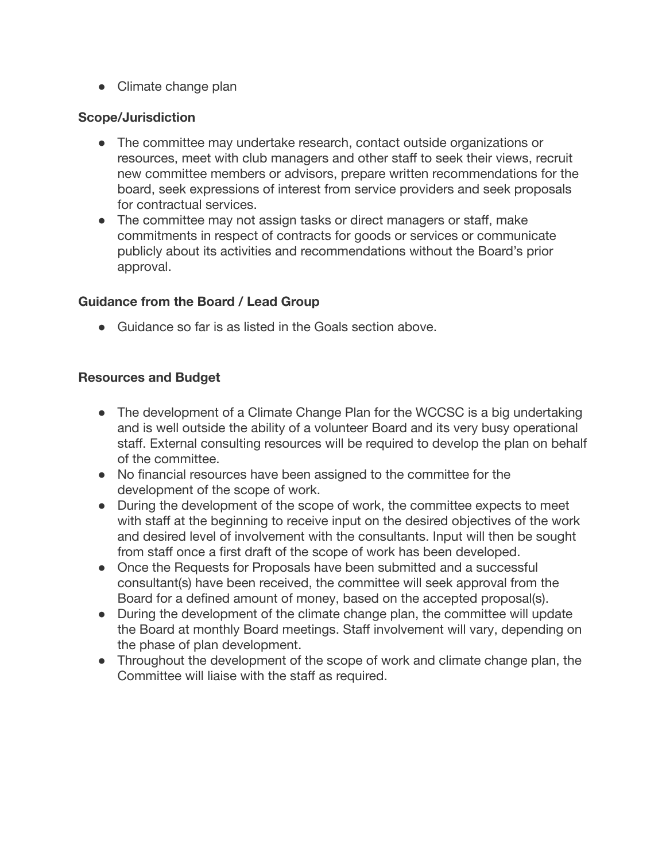● Climate change plan

#### **Scope/Jurisdiction**

- The committee may undertake research, contact outside organizations or resources, meet with club managers and other staff to seek their views, recruit new committee members or advisors, prepare written recommendations for the board, seek expressions of interest from service providers and seek proposals for contractual services.
- The committee may not assign tasks or direct managers or staff, make commitments in respect of contracts for goods or services or communicate publicly about its activities and recommendations without the Board's prior approval.

#### **Guidance from the Board / Lead Group**

● Guidance so far is as listed in the Goals section above.

#### **Resources and Budget**

- The development of a Climate Change Plan for the WCCSC is a big undertaking and is well outside the ability of a volunteer Board and its very busy operational staff. External consulting resources will be required to develop the plan on behalf of the committee.
- No financial resources have been assigned to the committee for the development of the scope of work.
- During the development of the scope of work, the committee expects to meet with staff at the beginning to receive input on the desired objectives of the work and desired level of involvement with the consultants. Input will then be sought from staff once a first draft of the scope of work has been developed.
- Once the Requests for Proposals have been submitted and a successful consultant(s) have been received, the committee will seek approval from the Board for a defined amount of money, based on the accepted proposal(s).
- During the development of the climate change plan, the committee will update the Board at monthly Board meetings. Staff involvement will vary, depending on the phase of plan development.
- Throughout the development of the scope of work and climate change plan, the Committee will liaise with the staff as required.